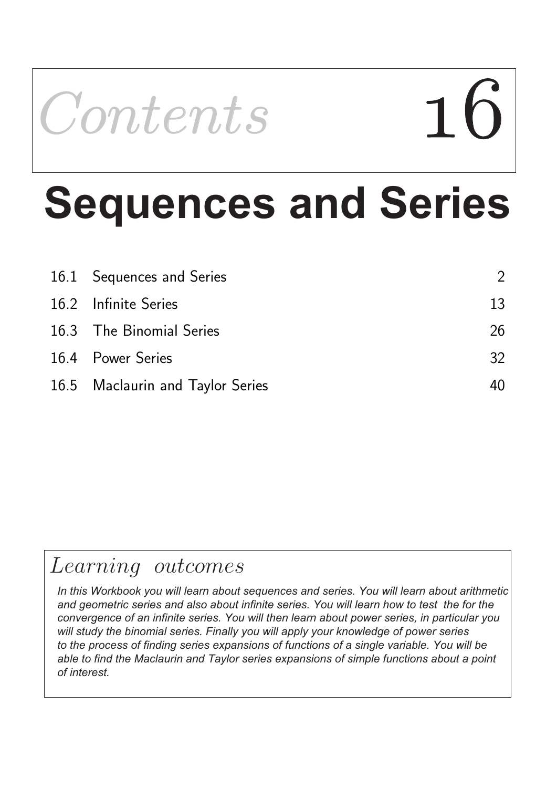# Contents Contents 16

# **Sequences and Series**

| 16.1 Sequences and Series        | $\mathcal{P}$ |
|----------------------------------|---------------|
| 16.2 Infinite Series             | 13            |
| 16.3 The Binomial Series         | 26            |
| 16.4 Power Series                | 32            |
| 16.5 Maclaurin and Taylor Series |               |

# Learning outcomes

*In this Workbook you will learn about sequences and series. You will learn about arithmetic* and geometric series and also about infinite series. You will learn how to test the for the *convergence of an infinite series. You will then learn about power series, in particular you will study the binomial series. Finally you will apply your knowledge of power series to the process of finding series expansions of functions of a single variable. You will be able to find the Maclaurin and Taylor series expansions of simple functions about a point of interest.*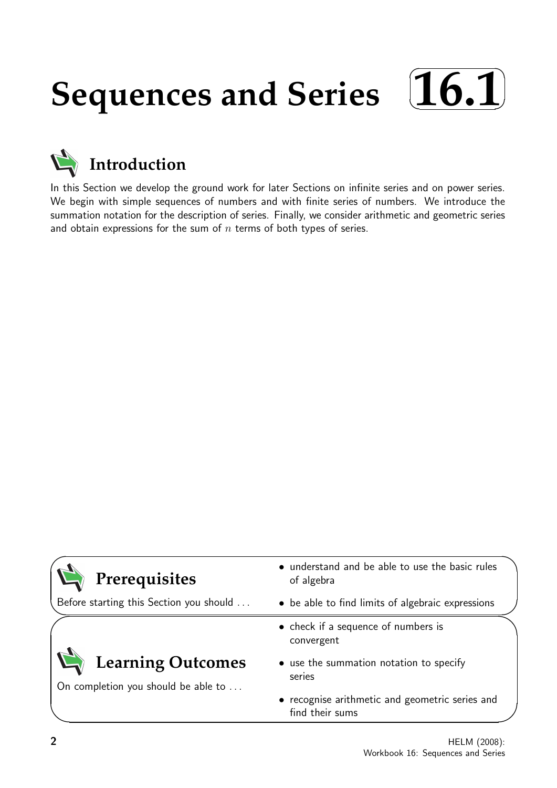#### **Sequences and Series**  $\sqrt{2}$ ✒ **16.1**✑ ✏



In this Section we develop the ground work for later Sections on infinite series and on power series. We begin with simple sequences of numbers and with finite series of numbers. We introduce the summation notation for the description of series. Finally, we consider arithmetic and geometric series and obtain expressions for the sum of  $n$  terms of both types of series.

| Prerequisites                                            | • understand and be able to use the basic rules<br>of algebra      |  |
|----------------------------------------------------------|--------------------------------------------------------------------|--|
| Before starting this Section you should                  | • be able to find limits of algebraic expressions                  |  |
|                                                          | • check if a sequence of numbers is<br>convergent                  |  |
| Learning Outcomes<br>On completion you should be able to | • use the summation notation to specify<br>series                  |  |
|                                                          | • recognise arithmetic and geometric series and<br>find their sums |  |

 $\overline{\phantom{0}}$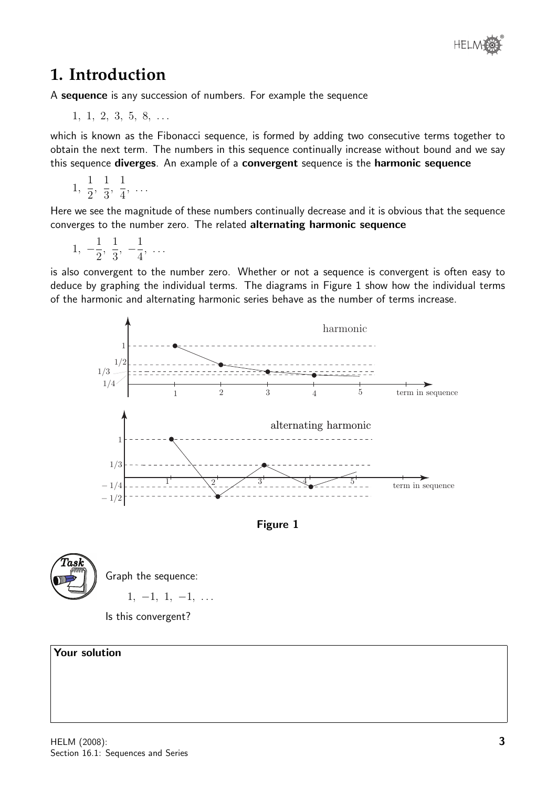# **1. Introduction**

A sequence is any succession of numbers. For example the sequence

 $1, 1, 2, 3, 5, 8, \ldots$ 

which is known as the Fibonacci sequence, is formed by adding two consecutive terms together to obtain the next term. The numbers in this sequence continually increase without bound and we say this sequence diverges. An example of a convergent sequence is the harmonic sequence

1, 1 2 , 1 3 , 1 4 , . . .

Here we see the magnitude of these numbers continually decrease and it is obvious that the sequence converges to the number zero. The related alternating harmonic sequence

$$
1, -\frac{1}{2}, \frac{1}{3}, -\frac{1}{4}, \ldots
$$

is also convergent to the number zero. Whether or not a sequence is convergent is often easy to deduce by graphing the individual terms. The diagrams in Figure 1 show how the individual terms of the harmonic and alternating harmonic series behave as the number of terms increase.







Graph the sequence:  $1, -1, 1, -1, \ldots$ 

Is this convergent?

#### Your solution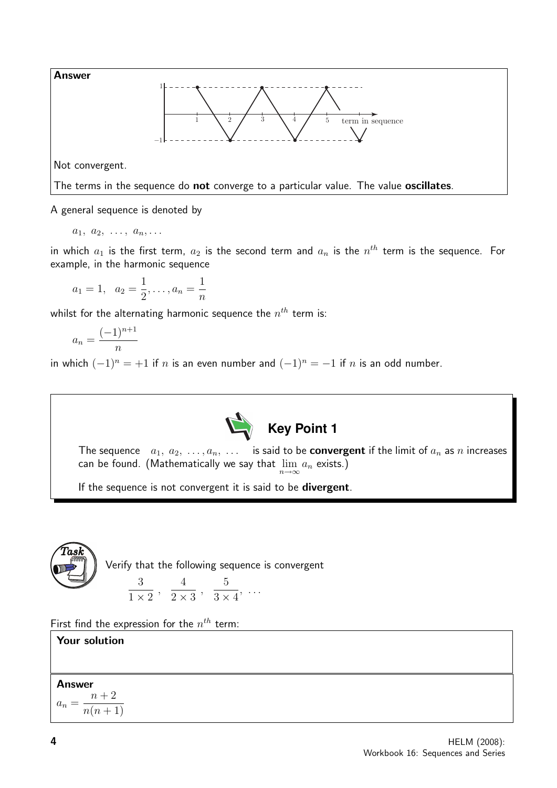

A general sequence is denoted by

 $a_1, a_2, \ldots, a_n, \ldots$ 

in which  $a_1$  is the first term,  $a_2$  is the second term and  $a_n$  is the  $n^{th}$  term is the sequence. For example, in the harmonic sequence

$$
a_1 = 1, \quad a_2 = \frac{1}{2}, \ldots, a_n = \frac{1}{n}
$$

whilst for the alternating harmonic sequence the  $n^{th}$  term is:

$$
a_n = \frac{(-1)^{n+1}}{n}
$$

in which  $(-1)^n = +1$  if n is an even number and  $(-1)^n = -1$  if n is an odd number.



The sequence  $a_1, a_2, \ldots, a_n, \ldots$  is said to be **convergent** if the limit of  $a_n$  as n increases can be found. (Mathematically we say that  $\lim\limits_{n\to\infty} a_n$  exists.)

If the sequence is not convergent it is said to be **divergent**.



First find the expression for the  $n^{th}$  term:

# Your solution

**Answer**  $a_n =$  $n + 2$  $n(n+1)$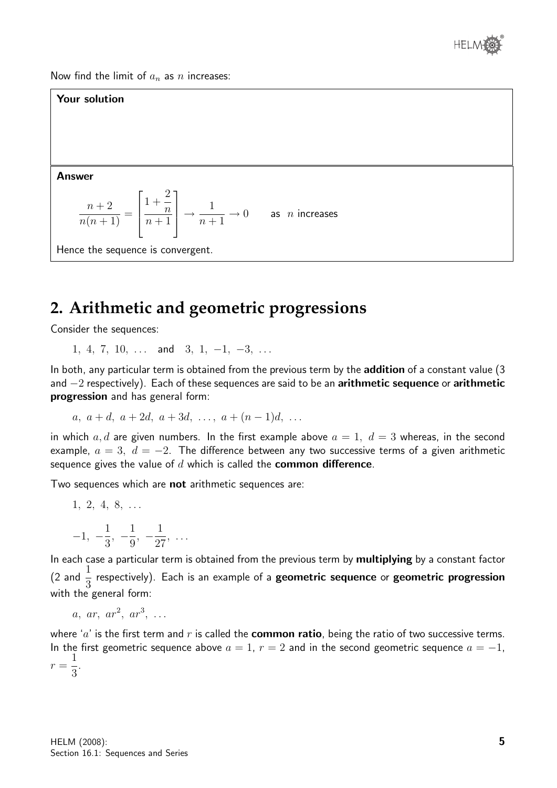

Now find the limit of  $a_n$  as n increases:

#### Your solution

Answer

$$
\frac{n+2}{n(n+1)} = \left\lceil \frac{1+\frac{2}{n}}{n+1} \right\rceil \longrightarrow \frac{1}{n+1} \longrightarrow 0 \quad \text{as } n \text{ increases}
$$

Hence the sequence is convergent.

# **2. Arithmetic and geometric progressions**

Consider the sequences:

1, 4, 7, 10,  $\dots$  and 3, 1, -1, -3,  $\dots$ 

In both, any particular term is obtained from the previous term by the addition of a constant value (3 and  $-2$  respectively). Each of these sequences are said to be an arithmetic sequence or arithmetic progression and has general form:

$$
a, a+d, a+2d, a+3d, \ldots, a+(n-1)d, \ldots
$$

in which a, d are given numbers. In the first example above  $a = 1, d = 3$  whereas, in the second example,  $a = 3$ ,  $d = -2$ . The difference between any two successive terms of a given arithmetic sequence gives the value of  $d$  which is called the **common difference**.

Two sequences which are not arithmetic sequences are:

1, 2, 4, 8, ...  
\n
$$
-1, -\frac{1}{2}, -\frac{1}{2}, -\frac{1}{27}, \dots
$$

9

27

3

In each case a particular term is obtained from the previous term by multiplying by a constant factor  $(2 \text{ and } \frac{1}{2})$ 3 respectively). Each is an example of a geometric sequence or geometric progression with the general form:

 $a, ar, ar^2, ar^3, \ldots$ 

where 'a' is the first term and  $r$  is called the **common ratio**, being the ratio of two successive terms. In the first geometric sequence above  $a = 1$ ,  $r = 2$  and in the second geometric sequence  $a = -1$ ,  $r =$ 1 3 .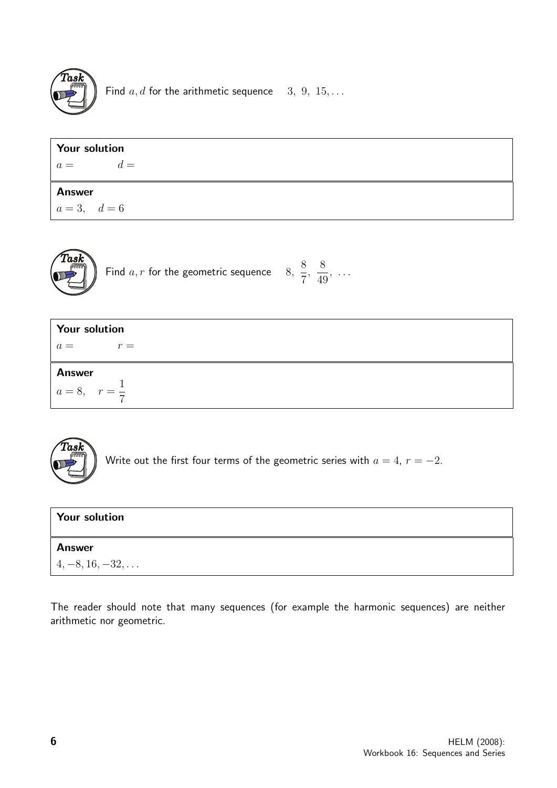

Find  $a, d$  for the arithmetic sequence 3, 9, 15, ...

| <b>Your solution</b> |       |  |  |  |
|----------------------|-------|--|--|--|
| $a =$                | $d =$ |  |  |  |
| <b>Answer</b>        |       |  |  |  |
| $a=3, d=6$           |       |  |  |  |



| <b>Your solution</b>                      |  |  |
|-------------------------------------------|--|--|
| $r =$<br>$a =$                            |  |  |
| <b>Answer</b><br>$a = 8, r = \frac{1}{7}$ |  |  |



Write out the first four terms of the geometric series with  $a = 4$ ,  $r = -2$ .

| <b>Your solution</b>       |  |
|----------------------------|--|
| <b>Answer</b>              |  |
| $  4, -8, 16, -32, \ldots$ |  |

The reader should note that many sequences (for example the harmonic sequences) are neither arithmetic nor geometric.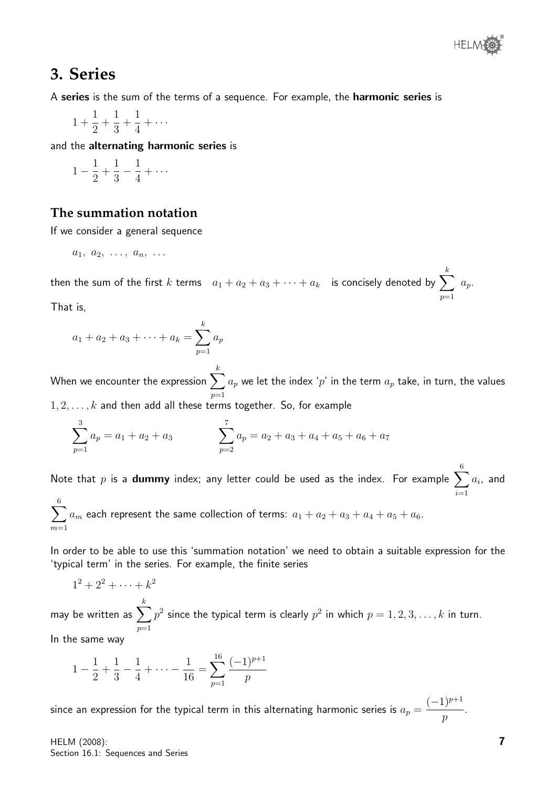

### **3. Series**

A series is the sum of the terms of a sequence. For example, the harmonic series is

1 + 1 2  $+$ 1 3 + 1 4  $+ \cdots$ 

and the alternating harmonic series is

$$
1 - \frac{1}{2} + \frac{1}{3} - \frac{1}{4} + \cdots
$$

#### **The summation notation**

If we consider a general sequence

$$
a_1, a_2, \ldots, a_n, \ldots
$$

then the sum of the first  $k$  terms  $\;\;a_1 + a_2 + a_3 + \cdots + a_k\;\;$  is concisely denoted by  $\displaystyle\sum$ k  $p=1$  $a_p$ .

That is,

$$
a_1 + a_2 + a_3 + \dots + a_k = \sum_{p=1}^k a_p
$$

When we encounter the expression  $\sum$ k  $p=1$  $a_p$  we let the index ' $p^{\prime}$  in the term  $a_p$  take, in turn, the values

 $1, 2, \ldots, k$  and then add all these terms together. So, for example

$$
\sum_{p=1}^{3} a_p = a_1 + a_2 + a_3 \qquad \qquad \sum_{p=2}^{7} a_p = a_2 + a_3 + a_4 + a_5 + a_6 + a_7
$$

Note that  $p$  is a  $\bf{dummy}$  index; any letter could be used as the index. For example  $\sum$ 6  $i=1$  $a_i$ , and 6

 $\sum$  $m=1$  $a_m$  each represent the same collection of terms:  $a_1 + a_2 + a_3 + a_4 + a_5 + a_6$ .

In order to be able to use this 'summation notation' we need to obtain a suitable expression for the 'typical term' in the series. For example, the finite series

 $1^2 + 2^2 + \cdots + k^2$ may be written as  $\sum$ k  $p=1$  $p^2$  since the typical term is clearly  $p^2$  in which  $p=1,2,3,\ldots,k$  in turn. In the same way

$$
1 - \frac{1}{2} + \frac{1}{3} - \frac{1}{4} + \dots - \frac{1}{16} = \sum_{p=1}^{16} \frac{(-1)^{p+1}}{p}
$$

since an expression for the typical term in this alternating harmonic series is  $a_p = \frac{1}{2}$  $(-1)^{p+1}$ p .

HELM (2008): Section 16.1: Sequences and Series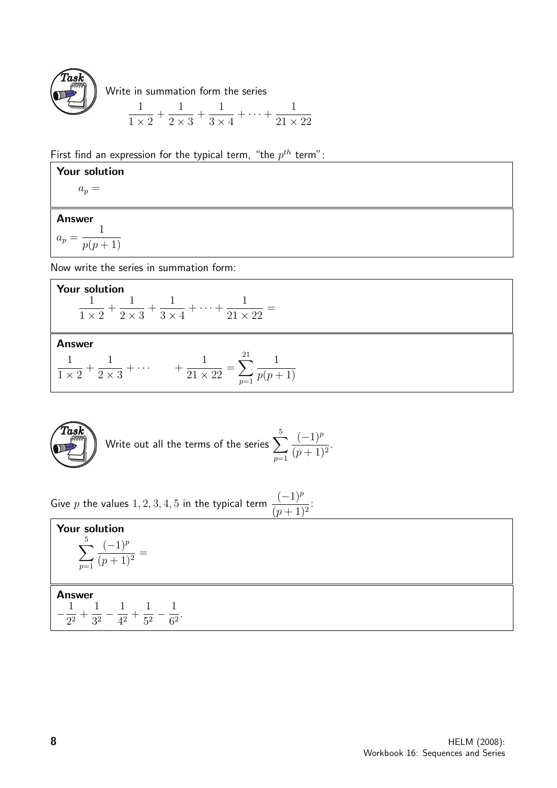

Write in summation form the series

$$
\frac{1}{1 \times 2} + \frac{1}{2 \times 3} + \frac{1}{3 \times 4} + \dots + \frac{1}{21 \times 22}
$$

First find an expression for the typical term, "the  $p^{th}$  term":

#### Your solution

 $a_p =$ 

#### Answer

 $a_p =$ 1  $p(p+1)$ 

Now write the series in summation form:

**Your solution**  

$$
\frac{1}{1 \times 2} + \frac{1}{2 \times 3} + \frac{1}{3 \times 4} + \dots + \frac{1}{21 \times 22} =
$$

#### Answer

$$
\frac{1}{1 \times 2} + \frac{1}{2 \times 3} + \dotsb + \frac{1}{21 \times 22} = \sum_{p=1}^{21} \frac{1}{p(p+1)}
$$



Write out all the terms of the series 
$$
\sum_{p=1}^{5} \frac{(-1)^p}{(p+1)^2}.
$$

Give p the values 1, 2, 3, 4, 5 in the typical term  $\frac{(-1)^p}{(-1)^p}$  $\frac{(p+1)^2}{(p+1)^2}$ 

| Your solution<br>-5<br>$\boldsymbol{\eta}$<br>_<br>$\sum_{p=1}^{ } (p + 1)$                         |  |
|-----------------------------------------------------------------------------------------------------|--|
| <b>Answer</b><br>2 <sup>2</sup><br>2 <sup>2</sup><br>$\lambda$ <sup>2</sup><br>52<br>$62^{\degree}$ |  |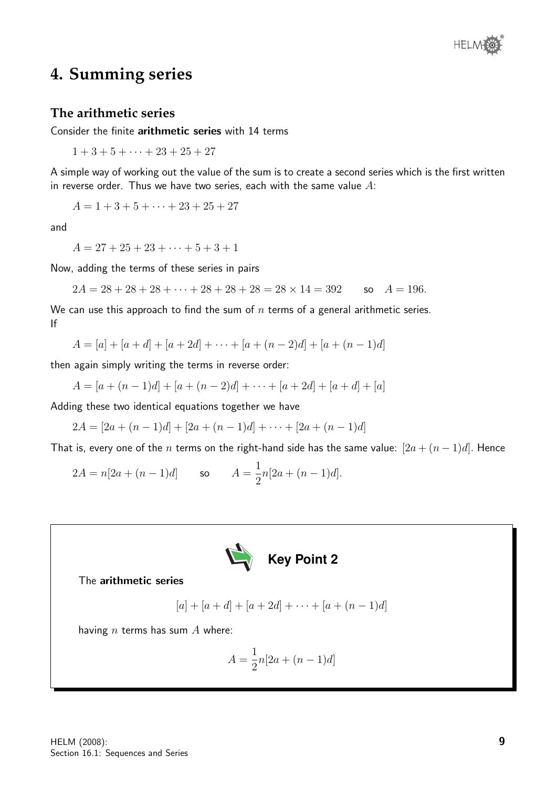

## **4. Summing series**

#### **The arithmetic series**

Consider the finite arithmetic series with 14 terms

 $1 + 3 + 5 + \cdots + 23 + 25 + 27$ 

A simple way of working out the value of the sum is to create a second series which is the first written in reverse order. Thus we have two series, each with the same value  $A$ :

 $A = 1 + 3 + 5 + \cdots + 23 + 25 + 27$ 

and

 $A = 27 + 25 + 23 + \cdots + 5 + 3 + 1$ 

Now, adding the terms of these series in pairs

 $2A = 28 + 28 + 28 + \cdots + 28 + 28 + 28 = 28 \times 14 = 392$  so  $A = 196$ .

We can use this approach to find the sum of  $n$  terms of a general arithmetic series. If

 $A = [a] + [a + d] + [a + 2d] + \cdots + [a + (n-2)d] + [a + (n-1)d]$ 

then again simply writing the terms in reverse order:

$$
A = [a + (n - 1)d] + [a + (n - 2)d] + \dots + [a + 2d] + [a + d] + [a]
$$

Adding these two identical equations together we have

 $2A = [2a + (n-1)d] + [2a + (n-1)d] + \cdots + [2a + (n-1)d]$ 

That is, every one of the n terms on the right-hand side has the same value:  $[2a + (n-1)d]$ . Hence

$$
2A = n[2a + (n-1)d] \qquad \text{so} \qquad A = \frac{1}{2}n[2a + (n-1)d].
$$



The arithmetic series

$$
[a] + [a+d] + [a+2d] + \cdots + [a+(n-1)d]
$$

having  $n$  terms has sum  $A$  where:

$$
A = \frac{1}{2}n[2a + (n-1)d]
$$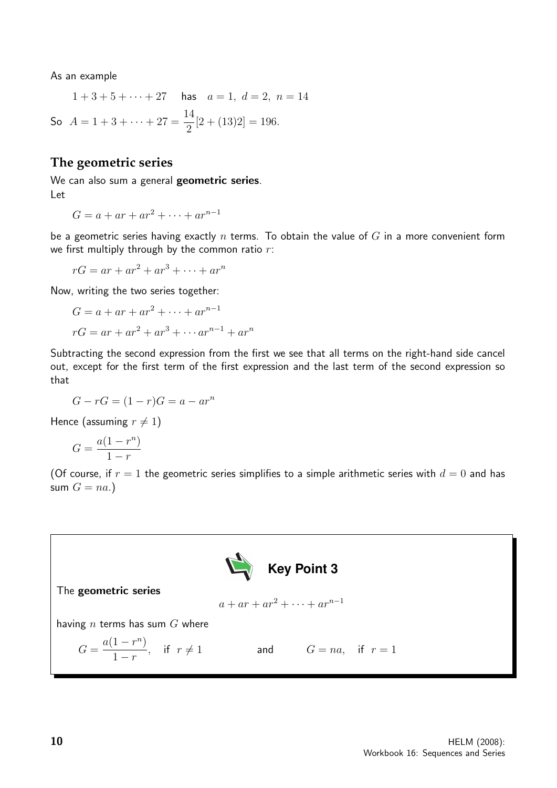As an example

 $1+3+5+\cdots+27$  has  $a=1, d=2, n=14$ So  $A = 1 + 3 + \cdots + 27 = \frac{14}{3}$ 2  $[2 + (13)2] = 196.$ 

#### **The geometric series**

We can also sum a general geometric series. Let

$$
G = a + ar + ar2 + \dots + arn-1
$$

be a geometric series having exactly  $n$  terms. To obtain the value of  $G$  in a more convenient form we first multiply through by the common ratio  $r$ :

 $rG = ar + ar^{2} + ar^{3} + \cdots + ar^{n}$ 

Now, writing the two series together:

$$
G = a + ar + ar2 + \dots + arn-1
$$

$$
rG = ar + ar2 + ar3 + \dots + arn-1 + arn
$$

Subtracting the second expression from the first we see that all terms on the right-hand side cancel out, except for the first term of the first expression and the last term of the second expression so that

$$
G - rG = (1 - r)G = a - ar^n
$$

Hence (assuming  $r \neq 1$ )

$$
G = \frac{a(1 - r^n)}{1 - r}
$$

(Of course, if  $r = 1$  the geometric series simplifies to a simple arithmetic series with  $d = 0$  and has sum  $G = na.$ )

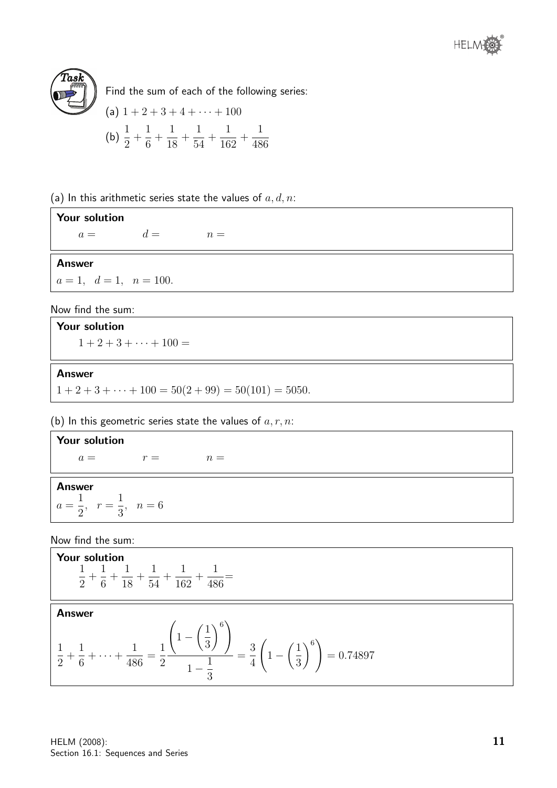



Find the sum of each of the following series:

(a) 
$$
1 + 2 + 3 + 4 + \cdots + 100
$$
  
\n(b)  $\frac{1}{2} + \frac{1}{6} + \frac{1}{18} + \frac{1}{54} + \frac{1}{162} + \frac{1}{486}$ 

(a) In this arithmetic series state the values of  $a, d, n$ :

#### Your solution  $a =$   $d =$   $n =$

Answer

 $a = 1, d = 1, n = 100.$ 

#### Now find the sum:

Your solution

 $1 + 2 + 3 + \cdots + 100 =$ 

#### Answer

 $1 + 2 + 3 + \cdots + 100 = 50(2 + 99) = 50(101) = 5050.$ 

#### (b) In this geometric series state the values of  $a, r, n$ :

#### Your solution

 $a = r =$   $n =$ 

#### Answer

 $a =$ 1 2  $r =$ 1 3  $n = 6$ 

Now find the sum:

**Your solution**  

$$
\frac{1}{2} + \frac{1}{6} + \frac{1}{18} + \frac{1}{54} + \frac{1}{162} + \frac{1}{486} =
$$

#### Answer

$$
\frac{1}{2} + \frac{1}{6} + \dots + \frac{1}{486} = \frac{1}{2} \frac{\left(1 - \left(\frac{1}{3}\right)^6\right)}{1 - \frac{1}{3}} = \frac{3}{4} \left(1 - \left(\frac{1}{3}\right)^6\right) = 0.74897
$$